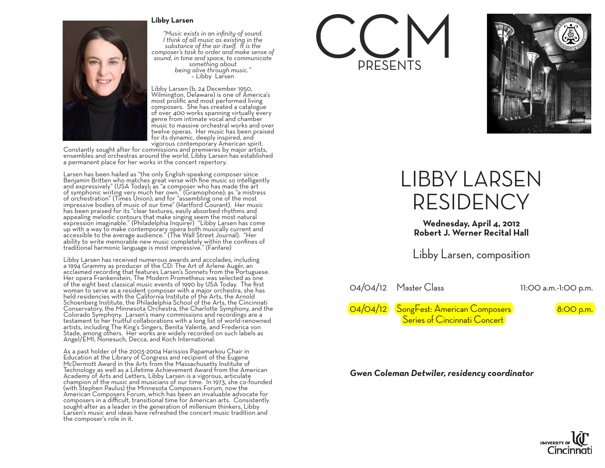#### **Libby Larsen**



*"Music exists in an infinity of sound. I think of all music as existing in the substance of the air itself. It is the composer's task to order and make sense of sound, in time and space, to communicate something about being alive through music."* – Libby Larsen

Libby Larsen (b. 24 December 1950, Wilmington, Delaware) is one of America's most prolific and most performed living composers. She has created a catalogue of over 400 works spanning virtually every genre from intimate vocal and chamber music to massive orchestral works and over twelve operas. Her music has been praised for its dynamic, deeply inspired, and

vigorous contemporary American spirit. Constantly sought after for commissions and premieres by major artists, ensembles and orchestras around the world, Libby Larsen has established a permanent place for her works in the concert repertory.

Larsen has been hailed as "the only English-speaking composer since Benjamin Britten who matches great verse with fine music so intelligently and expressively" (USA Today); as "a composer who has made the art of symphonic writing very much her own." (Gramophone); as "a mistress of orchestration" (Times Union); and for "assembling one of the most impressive bodies of music of our time" (Hartford Courant). Her music has been praised for its "clear textures, easily absorbed rhythms and appealing melodic contours that make singing seem the most natural expression imaginable." (Philadelphia Inquirer) "Libby Larsen has come up with a way to make contemporary opera both musically current and accessible to the average audience." (The Wall Street Journal). "Her ability to write memorable new music completely within the confines of traditional harmonic language is most impressive." (Fanfare)

Libby Larsen has received numerous awards and accolades, including a 1994 Grammy as producer of the CD: The Art of Arlene Augér, an acclaimed recording that features Larsen's Sonnets from the Portuguese. Her opera Frankenstein, The Modern Prometheus was selected as one of the eight best classical music events of 1990 by USA Today. The first woman to serve as a resident composer with a major orchestra, she has held residencies with the California Institute of the Arts, the Arnold Schoenberg Institute, the Philadelphia School of the Arts, the Cincinnati Conservatory, the Minnesota Orchestra, the Charlotte Symphony, and the Colorado Symphony. Larsen's many commissions and recordings are a testament to her fruitful collaborations with a long list of world-renowned artists, including The King's Singers, Benita Valente, and Frederica von Stade, among others. Her works are widely recorded on such labels as Angel/EMI, Nonesuch, Decca, and Koch International.

As a past holder of the 2003-2004 Harissios Papamarkou Chair in Education at the Library of Congress and recipient of the Eugene McDermott Award in the Arts from the Massachusetts Institute of Technology as well as a Lifetime Achievement Award from the American Academy of Arts and Letters, Libby Larsen is a vigorous, articulate champion of the music and musicians of our time. In 1973, she co-founded (with Stephen Paulus) the Minnesota Composers Forum, now the American Composers Forum, which has been an invaluable advocate for composers in a difficult, transitional time for American arts. Consistently sought-after as a leader in the generation of millenium thinkers, Libby Larsen's music and ideas have refreshed the concert music tradition and the composer's role in it.





# LIBBY LARSEN RESIDENCY

**Wednesday, April 4, 2012 Robert J. Werner Recital Hall**

Libby Larsen, composition

04/04/12 Master Class 11:00 a.m.-1:00 p.m.

04/04/12 SongFest: American Composers 8:00 p.m. Series of Cincinnati Concert

### *Gwen Coleman Detwiler, residency coordinator*